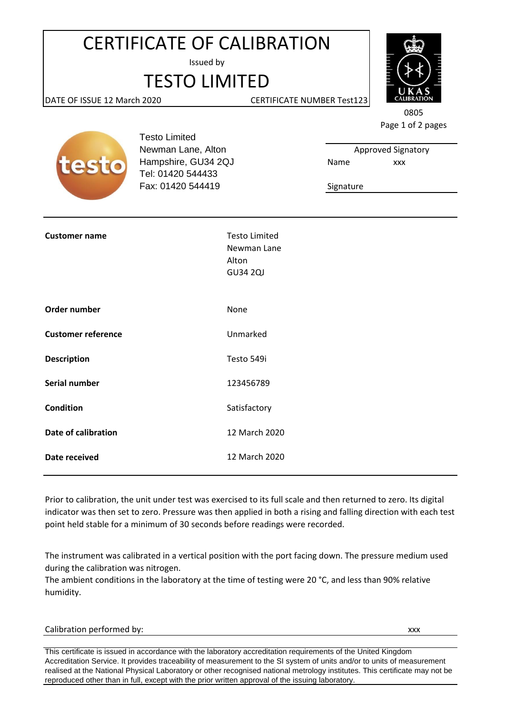## CERTIFICATE OF CALIBRATION

Issued by

## TESTO LIMITED



DATE OF ISSUE 12 March 2020 CERTIFICATE NUMBER Test123

0805 Page 1 of 2 pages

Approved Signatory

xxx



Testo Limited Newman Lane, Alton Hampshire, GU34 2QJ Name Tel: 01420 544433 Fax: 01420 544419

Signature

| <b>Customer name</b>      | <b>Testo Limited</b><br>Newman Lane<br>Alton<br><b>GU34 2QJ</b> |
|---------------------------|-----------------------------------------------------------------|
| Order number              | None                                                            |
| <b>Customer reference</b> | Unmarked                                                        |
| <b>Description</b>        | Testo 549i                                                      |
| Serial number             | 123456789                                                       |
| <b>Condition</b>          | Satisfactory                                                    |
| Date of calibration       | 12 March 2020                                                   |
| Date received             | 12 March 2020                                                   |
|                           |                                                                 |

Prior to calibration, the unit under test was exercised to its full scale and then returned to zero. Its digital indicator was then set to zero. Pressure was then applied in both a rising and falling direction with each test point held stable for a minimum of 30 seconds before readings were recorded.

The instrument was calibrated in a vertical position with the port facing down. The pressure medium used during the calibration was nitrogen.

The ambient conditions in the laboratory at the time of testing were 20 °C, and less than 90% relative humidity.

Calibration performed by:  $xxx$ 

This certificate is issued in accordance with the laboratory accreditation requirements of the United Kingdom Accreditation Service. It provides traceability of measurement to the SI system of units and/or to units of measurement realised at the National Physical Laboratory or other recognised national metrology institutes. This certificate may not be reproduced other than in full, except with the prior written approval of the issuing laboratory.